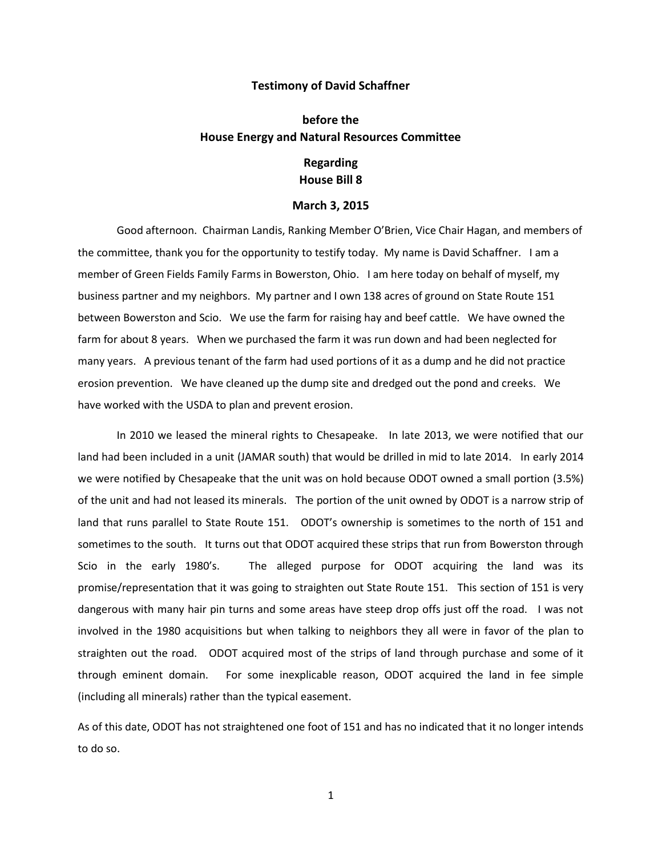## **Testimony of David Schaffner**

## **before the House Energy and Natural Resources Committee**

## **Regarding House Bill 8**

## **March 3, 2015**

Good afternoon. Chairman Landis, Ranking Member O'Brien, Vice Chair Hagan, and members of the committee, thank you for the opportunity to testify today. My name is David Schaffner. I am a member of Green Fields Family Farms in Bowerston, Ohio. I am here today on behalf of myself, my business partner and my neighbors. My partner and I own 138 acres of ground on State Route 151 between Bowerston and Scio. We use the farm for raising hay and beef cattle. We have owned the farm for about 8 years. When we purchased the farm it was run down and had been neglected for many years. A previous tenant of the farm had used portions of it as a dump and he did not practice erosion prevention. We have cleaned up the dump site and dredged out the pond and creeks. We have worked with the USDA to plan and prevent erosion.

In 2010 we leased the mineral rights to Chesapeake. In late 2013, we were notified that our land had been included in a unit (JAMAR south) that would be drilled in mid to late 2014. In early 2014 we were notified by Chesapeake that the unit was on hold because ODOT owned a small portion (3.5%) of the unit and had not leased its minerals. The portion of the unit owned by ODOT is a narrow strip of land that runs parallel to State Route 151. ODOT's ownership is sometimes to the north of 151 and sometimes to the south. It turns out that ODOT acquired these strips that run from Bowerston through Scio in the early 1980's. The alleged purpose for ODOT acquiring the land was its promise/representation that it was going to straighten out State Route 151. This section of 151 is very dangerous with many hair pin turns and some areas have steep drop offs just off the road. I was not involved in the 1980 acquisitions but when talking to neighbors they all were in favor of the plan to straighten out the road. ODOT acquired most of the strips of land through purchase and some of it through eminent domain. For some inexplicable reason, ODOT acquired the land in fee simple (including all minerals) rather than the typical easement.

As of this date, ODOT has not straightened one foot of 151 and has no indicated that it no longer intends to do so.

1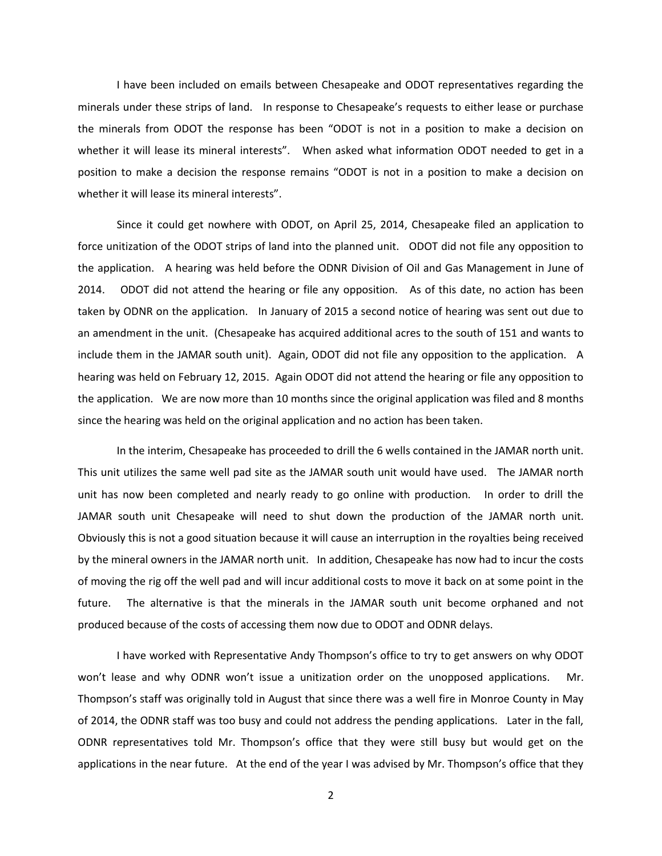I have been included on emails between Chesapeake and ODOT representatives regarding the minerals under these strips of land. In response to Chesapeake's requests to either lease or purchase the minerals from ODOT the response has been "ODOT is not in a position to make a decision on whether it will lease its mineral interests". When asked what information ODOT needed to get in a position to make a decision the response remains "ODOT is not in a position to make a decision on whether it will lease its mineral interests".

Since it could get nowhere with ODOT, on April 25, 2014, Chesapeake filed an application to force unitization of the ODOT strips of land into the planned unit. ODOT did not file any opposition to the application. A hearing was held before the ODNR Division of Oil and Gas Management in June of 2014. ODOT did not attend the hearing or file any opposition. As of this date, no action has been taken by ODNR on the application. In January of 2015 a second notice of hearing was sent out due to an amendment in the unit. (Chesapeake has acquired additional acres to the south of 151 and wants to include them in the JAMAR south unit). Again, ODOT did not file any opposition to the application. A hearing was held on February 12, 2015. Again ODOT did not attend the hearing or file any opposition to the application. We are now more than 10 months since the original application was filed and 8 months since the hearing was held on the original application and no action has been taken.

In the interim, Chesapeake has proceeded to drill the 6 wells contained in the JAMAR north unit. This unit utilizes the same well pad site as the JAMAR south unit would have used. The JAMAR north unit has now been completed and nearly ready to go online with production. In order to drill the JAMAR south unit Chesapeake will need to shut down the production of the JAMAR north unit. Obviously this is not a good situation because it will cause an interruption in the royalties being received by the mineral owners in the JAMAR north unit. In addition, Chesapeake has now had to incur the costs of moving the rig off the well pad and will incur additional costs to move it back on at some point in the future. The alternative is that the minerals in the JAMAR south unit become orphaned and not produced because of the costs of accessing them now due to ODOT and ODNR delays.

I have worked with Representative Andy Thompson's office to try to get answers on why ODOT won't lease and why ODNR won't issue a unitization order on the unopposed applications. Mr. Thompson's staff was originally told in August that since there was a well fire in Monroe County in May of 2014, the ODNR staff was too busy and could not address the pending applications. Later in the fall, ODNR representatives told Mr. Thompson's office that they were still busy but would get on the applications in the near future. At the end of the year I was advised by Mr. Thompson's office that they

2